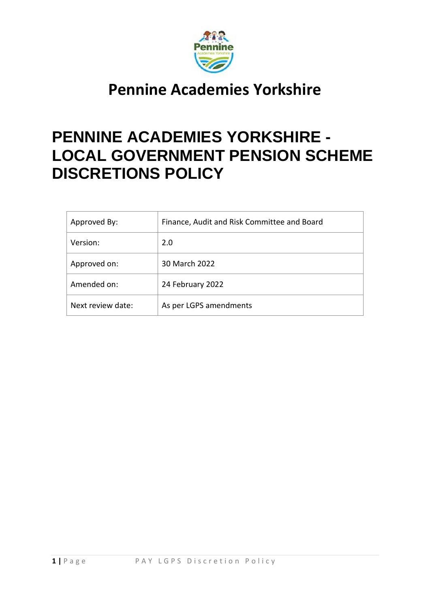

# **PENNINE ACADEMIES YORKSHIRE - LOCAL GOVERNMENT PENSION SCHEME DISCRETIONS POLICY**

| Approved By:      | Finance, Audit and Risk Committee and Board |
|-------------------|---------------------------------------------|
| Version:          | 2.0                                         |
| Approved on:      | 30 March 2022                               |
| Amended on:       | 24 February 2022                            |
| Next review date: | As per LGPS amendments                      |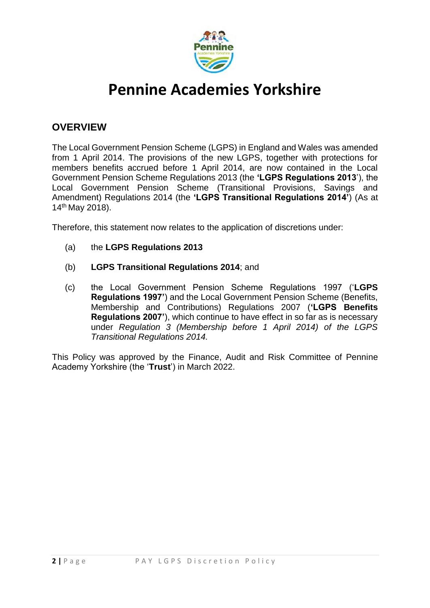

### **OVERVIEW**

The Local Government Pension Scheme (LGPS) in England and Wales was amended from 1 April 2014. The provisions of the new LGPS, together with protections for members benefits accrued before 1 April 2014, are now contained in the Local Government Pension Scheme Regulations 2013 (the **'LGPS Regulations 2013**'), the Local Government Pension Scheme (Transitional Provisions, Savings and Amendment) Regulations 2014 (the **'LGPS Transitional Regulations 2014'**) (As at 14th May 2018).

Therefore, this statement now relates to the application of discretions under:

- (a) the **LGPS Regulations 2013**
- (b) **LGPS Transitional Regulations 2014**; and
- (c) the Local Government Pension Scheme Regulations 1997 ('**LGPS Regulations 1997'**) and the Local Government Pension Scheme (Benefits, Membership and Contributions) Regulations 2007 (**'LGPS Benefits Regulations 2007'**), which continue to have effect in so far as is necessary under *Regulation 3 (Membership before 1 April 2014) of the LGPS Transitional Regulations 2014.*

This Policy was approved by the Finance, Audit and Risk Committee of Pennine Academy Yorkshire (the '**Trust**') in March 2022.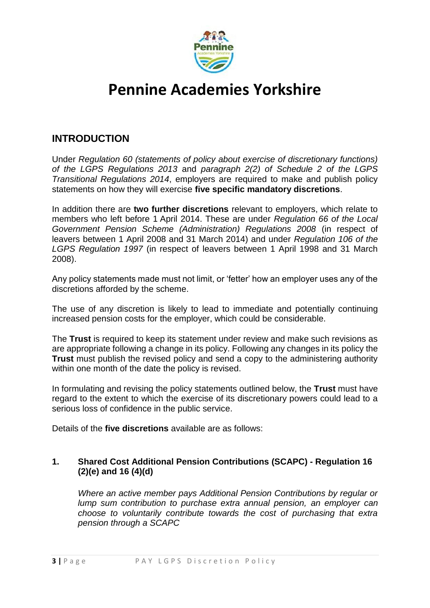

### **INTRODUCTION**

Under *Regulation 60 (statements of policy about exercise of discretionary functions) of the LGPS Regulations 2013* and *paragraph 2(2) of Schedule 2 of the LGPS Transitional Regulations 2014*, employers are required to make and publish policy statements on how they will exercise **five specific mandatory discretions**.

In addition there are **two further discretions** relevant to employers, which relate to members who left before 1 April 2014. These are under *Regulation 66 of the Local Government Pension Scheme (Administration) Regulations 2008* (in respect of leavers between 1 April 2008 and 31 March 2014) and under *Regulation 106 of the LGPS Regulation 1997* (in respect of leavers between 1 April 1998 and 31 March 2008).

Any policy statements made must not limit, or 'fetter' how an employer uses any of the discretions afforded by the scheme.

The use of any discretion is likely to lead to immediate and potentially continuing increased pension costs for the employer, which could be considerable.

The **Trust** is required to keep its statement under review and make such revisions as are appropriate following a change in its policy. Following any changes in its policy the **Trust** must publish the revised policy and send a copy to the administering authority within one month of the date the policy is revised.

In formulating and revising the policy statements outlined below, the **Trust** must have regard to the extent to which the exercise of its discretionary powers could lead to a serious loss of confidence in the public service.

Details of the **five discretions** available are as follows:

### **1. Shared Cost Additional Pension Contributions (SCAPC) - Regulation 16 (2)(e) and 16 (4)(d)**

*Where an active member pays Additional Pension Contributions by regular or lump sum contribution to purchase extra annual pension, an employer can choose to voluntarily contribute towards the cost of purchasing that extra pension through a SCAPC*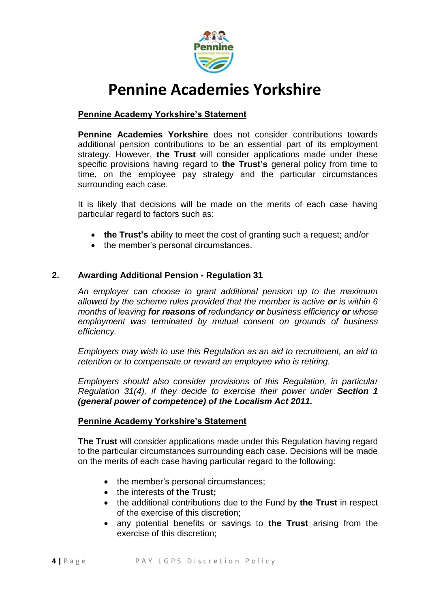

### **Pennine Academy Yorkshire's Statement**

**Pennine Academies Yorkshire** does not consider contributions towards additional pension contributions to be an essential part of its employment strategy. However, **the Trust** will consider applications made under these specific provisions having regard to **the Trust's** general policy from time to time, on the employee pay strategy and the particular circumstances surrounding each case.

It is likely that decisions will be made on the merits of each case having particular regard to factors such as:

- **the Trust's** ability to meet the cost of granting such a request; and/or
- the member's personal circumstances.

#### **2. Awarding Additional Pension - Regulation 31**

*An employer can choose to grant additional pension up to the maximum allowed by the scheme rules provided that the member is active or is within 6 months of leaving for reasons of redundancy or business efficiency or whose employment was terminated by mutual consent on grounds of business efficiency.*

*Employers may wish to use this Regulation as an aid to recruitment, an aid to retention or to compensate or reward an employee who is retiring.* 

*Employers should also consider provisions of this Regulation, in particular Regulation 31(4), if they decide to exercise their power under Section 1 (general power of competence) of the Localism Act 2011.* 

#### **Pennine Academy Yorkshire's Statement**

**The Trust** will consider applications made under this Regulation having regard to the particular circumstances surrounding each case. Decisions will be made on the merits of each case having particular regard to the following:

- the member's personal circumstances:
- the interests of **the Trust:**
- the additional contributions due to the Fund by **the Trust** in respect of the exercise of this discretion;
- any potential benefits or savings to **the Trust** arising from the exercise of this discretion;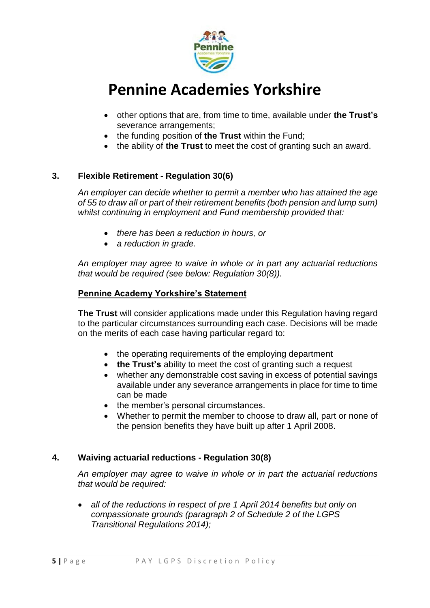

- other options that are, from time to time, available under **the Trust's** severance arrangements;
- the funding position of the Trust within the Fund;
- the ability of **the Trust** to meet the cost of granting such an award.

### **3. Flexible Retirement - Regulation 30(6)**

*An employer can decide whether to permit a member who has attained the age of 55 to draw all or part of their retirement benefits (both pension and lump sum) whilst continuing in employment and Fund membership provided that:*

- *there has been a reduction in hours, or*
- *a reduction in grade.*

*An employer may agree to waive in whole or in part any actuarial reductions that would be required (see below: Regulation 30(8)).*

#### **Pennine Academy Yorkshire's Statement**

**The Trust** will consider applications made under this Regulation having regard to the particular circumstances surrounding each case. Decisions will be made on the merits of each case having particular regard to:

- the operating requirements of the employing department
- **the Trust's** ability to meet the cost of granting such a request
- whether any demonstrable cost saving in excess of potential savings available under any severance arrangements in place for time to time can be made
- the member's personal circumstances.
- Whether to permit the member to choose to draw all, part or none of the pension benefits they have built up after 1 April 2008.

#### **4. Waiving actuarial reductions - Regulation 30(8)**

*An employer may agree to waive in whole or in part the actuarial reductions that would be required:*

 *all of the reductions in respect of pre 1 April 2014 benefits but only on compassionate grounds (paragraph 2 of Schedule 2 of the LGPS Transitional Regulations 2014);*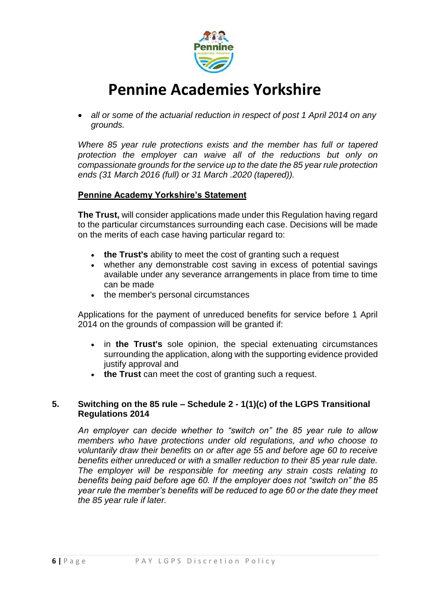

 *all or some of the actuarial reduction in respect of post 1 April 2014 on any grounds.* 

*Where 85 year rule protections exists and the member has full or tapered protection the employer can waive all of the reductions but only on compassionate grounds for the service up to the date the 85 year rule protection ends (31 March 2016 (full) or 31 March .2020 (tapered)).*

#### **Pennine Academy Yorkshire's Statement**

**The Trust,** will consider applications made under this Regulation having regard to the particular circumstances surrounding each case. Decisions will be made on the merits of each case having particular regard to:

- **the Trust's** ability to meet the cost of granting such a request
- whether any demonstrable cost saving in excess of potential savings available under any severance arrangements in place from time to time can be made
- the member's personal circumstances

Applications for the payment of unreduced benefits for service before 1 April 2014 on the grounds of compassion will be granted if:

- in **the Trust's** sole opinion, the special extenuating circumstances surrounding the application, along with the supporting evidence provided justify approval and
- **the Trust** can meet the cost of granting such a request.

#### **5. Switching on the 85 rule – Schedule 2 - 1(1)(c) of the LGPS Transitional Regulations 2014**

*An employer can decide whether to "switch on" the 85 year rule to allow members who have protections under old regulations, and who choose to voluntarily draw their benefits on or after age 55 and before age 60 to receive benefits either unreduced or with a smaller reduction to their 85 year rule date. The employer will be responsible for meeting any strain costs relating to benefits being paid before age 60. If the employer does not "switch on" the 85 year rule the member's benefits will be reduced to age 60 or the date they meet the 85 year rule if later.*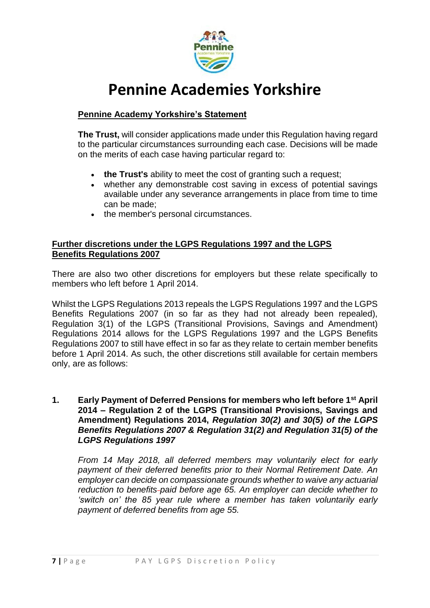

### **Pennine Academy Yorkshire's Statement**

**The Trust,** will consider applications made under this Regulation having regard to the particular circumstances surrounding each case. Decisions will be made on the merits of each case having particular regard to:

- **the Trust's** ability to meet the cost of granting such a request;
- whether any demonstrable cost saving in excess of potential savings available under any severance arrangements in place from time to time can be made;
- the member's personal circumstances.

#### **Further discretions under the LGPS Regulations 1997 and the LGPS Benefits Regulations 2007**

There are also two other discretions for employers but these relate specifically to members who left before 1 April 2014.

Whilst the LGPS Regulations 2013 repeals the LGPS Regulations 1997 and the LGPS Benefits Regulations 2007 (in so far as they had not already been repealed), Regulation 3(1) of the LGPS (Transitional Provisions, Savings and Amendment) Regulations 2014 allows for the LGPS Regulations 1997 and the LGPS Benefits Regulations 2007 to still have effect in so far as they relate to certain member benefits before 1 April 2014. As such, the other discretions still available for certain members only, are as follows:

#### **1. Early Payment of Deferred Pensions for members who left before 1st April 2014 – Regulation 2 of the LGPS (Transitional Provisions, Savings and Amendment) Regulations 2014,** *Regulation 30(2) and 30(5) of the LGPS Benefits Regulations 2007 & Regulation 31(2) and Regulation 31(5) of the LGPS Regulations 1997*

*From 14 May 2018, all deferred members may voluntarily elect for early payment of their deferred benefits prior to their Normal Retirement Date. An employer can decide on compassionate grounds whether to waive any actuarial reduction to benefits paid before age 65. An employer can decide whether to 'switch on' the 85 year rule where a member has taken voluntarily early payment of deferred benefits from age 55.*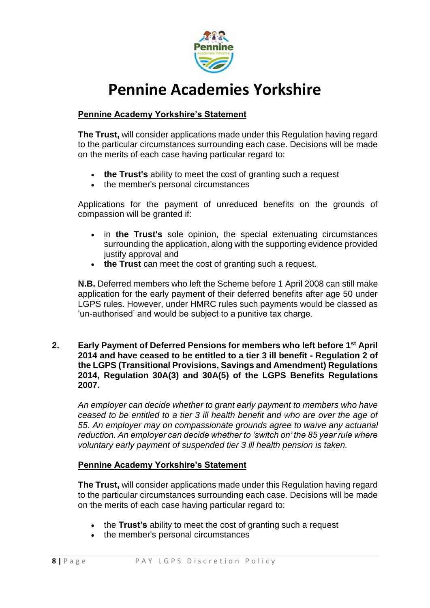

### **Pennine Academy Yorkshire's Statement**

**The Trust,** will consider applications made under this Regulation having regard to the particular circumstances surrounding each case. Decisions will be made on the merits of each case having particular regard to:

- **the Trust's** ability to meet the cost of granting such a request
- the member's personal circumstances

Applications for the payment of unreduced benefits on the grounds of compassion will be granted if:

- in **the Trust's** sole opinion, the special extenuating circumstances surrounding the application, along with the supporting evidence provided justify approval and
- **the Trust** can meet the cost of granting such a request.

**N.B.** Deferred members who left the Scheme before 1 April 2008 can still make application for the early payment of their deferred benefits after age 50 under LGPS rules. However, under HMRC rules such payments would be classed as 'un-authorised' and would be subject to a punitive tax charge.

**2. Early Payment of Deferred Pensions for members who left before 1st April 2014 and have ceased to be entitled to a tier 3 ill benefit - Regulation 2 of the LGPS (Transitional Provisions, Savings and Amendment) Regulations 2014, Regulation 30A(3) and 30A(5) of the LGPS Benefits Regulations 2007.** 

*An employer can decide whether to grant early payment to members who have ceased to be entitled to a tier 3 ill health benefit and who are over the age of 55. An employer may on compassionate grounds agree to waive any actuarial reduction. An employer can decide whether to 'switch on' the 85 year rule where voluntary early payment of suspended tier 3 ill health pension is taken.*

#### **Pennine Academy Yorkshire's Statement**

**The Trust,** will consider applications made under this Regulation having regard to the particular circumstances surrounding each case. Decisions will be made on the merits of each case having particular regard to:

- the **Trust's** ability to meet the cost of granting such a request
- the member's personal circumstances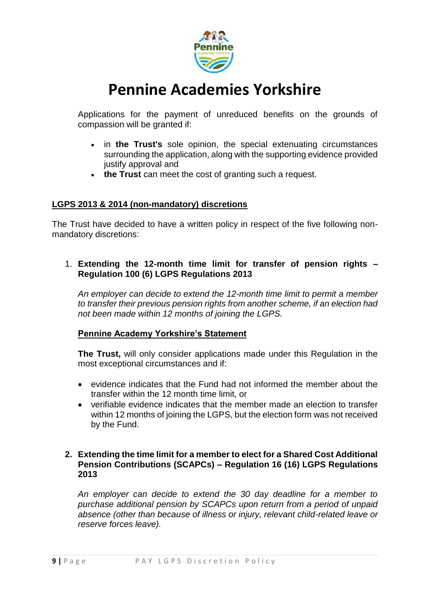

Applications for the payment of unreduced benefits on the grounds of compassion will be granted if:

- in **the Trust's** sole opinion, the special extenuating circumstances surrounding the application, along with the supporting evidence provided justify approval and
- **the Trust** can meet the cost of granting such a request.

#### **LGPS 2013 & 2014 (non-mandatory) discretions**

The Trust have decided to have a written policy in respect of the five following nonmandatory discretions:

#### 1. **Extending the 12-month time limit for transfer of pension rights – Regulation 100 (6) LGPS Regulations 2013**

*An employer can decide to extend the 12-month time limit to permit a member to transfer their previous pension rights from another scheme, if an election had not been made within 12 months of joining the LGPS.*

#### **Pennine Academy Yorkshire's Statement**

**The Trust,** will only consider applications made under this Regulation in the most exceptional circumstances and if:

- evidence indicates that the Fund had not informed the member about the transfer within the 12 month time limit, or
- verifiable evidence indicates that the member made an election to transfer within 12 months of joining the LGPS, but the election form was not received by the Fund.

#### **2. Extending the time limit for a member to elect for a Shared Cost Additional Pension Contributions (SCAPCs) – Regulation 16 (16) LGPS Regulations 2013**

*An employer can decide to extend the 30 day deadline for a member to purchase additional pension by SCAPCs upon return from a period of unpaid absence (other than because of illness or injury, relevant child-related leave or reserve forces leave).*